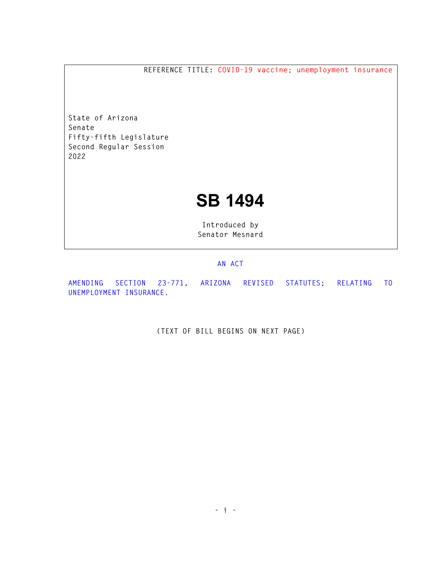**REFERENCE TITLE: COVID-19 vaccine; unemployment insurance** 

**State of Arizona Senate Fifty-fifth Legislature Second Regular Session 2022** 

## **SB 1494**

**Introduced by Senator Mesnard** 

## **AN ACT**

**AMENDING SECTION 23-771, ARIZONA REVISED STATUTES; RELATING TO UNEMPLOYMENT INSURANCE.** 

**(TEXT OF BILL BEGINS ON NEXT PAGE)**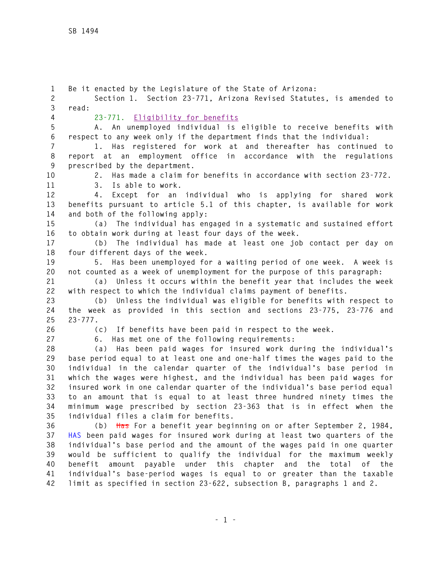**1 Be it enacted by the Legislature of the State of Arizona: 2 Section 1. Section 23-771, Arizona Revised Statutes, is amended to 3 read: 4 23-771. Eligibility for benefits 5 A. An unemployed individual is eligible to receive benefits with 6 respect to any week only if the department finds that the individual: 7 1. Has registered for work at and thereafter has continued to 8 report at an employment office in accordance with the regulations 9 prescribed by the department. 10 2. Has made a claim for benefits in accordance with section 23-772. 11 3. Is able to work. 12 4. Except for an individual who is applying for shared work 13 benefits pursuant to article 5.1 of this chapter, is available for work 14 and both of the following apply: 15 (a) The individual has engaged in a systematic and sustained effort 16 to obtain work during at least four days of the week. 17 (b) The individual has made at least one job contact per day on 18 four different days of the week. 19 5. Has been unemployed for a waiting period of one week. A week is 20 not counted as a week of unemployment for the purpose of this paragraph: 21 (a) Unless it occurs within the benefit year that includes the week 22 with respect to which the individual claims payment of benefits. 23 (b) Unless the individual was eligible for benefits with respect to 24 the week as provided in this section and sections 23-775, 23-776 and 25 23-777. 26 (c) If benefits have been paid in respect to the week. 27 6. Has met one of the following requirements: 28 (a) Has been paid wages for insured work during the individual's 29 base period equal to at least one and one-half times the wages paid to the 30 individual in the calendar quarter of the individual's base period in 31 which the wages were highest, and the individual has been paid wages for 32 insured work in one calendar quarter of the individual's base period equal 33 to an amount that is equal to at least three hundred ninety times the 34 minimum wage prescribed by section 23-363 that is in effect when the 35 individual files a claim for benefits. 36 (b) Has For a benefit year beginning on or after September 2, 1984, 37 HAS been paid wages for insured work during at least two quarters of the 38 individual's base period and the amount of the wages paid in one quarter 39 would be sufficient to qualify the individual for the maximum weekly 40 benefit amount payable under this chapter and the total of the 41 individual's base-period wages is equal to or greater than the taxable 42 limit as specified in section 23-622, subsection B, paragraphs 1 and 2.**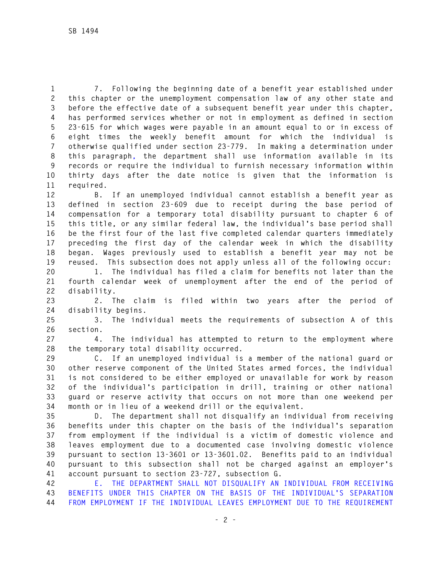**1 7. Following the beginning date of a benefit year established under 2 this chapter or the unemployment compensation law of any other state and 3 before the effective date of a subsequent benefit year under this chapter, 4 has performed services whether or not in employment as defined in section 5 23-615 for which wages were payable in an amount equal to or in excess of 6 eight times the weekly benefit amount for which the individual is 7 otherwise qualified under section 23-779. In making a determination under 8 this paragraph, the department shall use information available in its 9 records or require the individual to furnish necessary information within 10 thirty days after the date notice is given that the information is 11 required.** 

**12 B. If an unemployed individual cannot establish a benefit year as 13 defined in section 23-609 due to receipt during the base period of 14 compensation for a temporary total disability pursuant to chapter 6 of 15 this title, or any similar federal law, the individual's base period shall 16 be the first four of the last five completed calendar quarters immediately 17 preceding the first day of the calendar week in which the disability 18 began. Wages previously used to establish a benefit year may not be 19 reused. This subsection does not apply unless all of the following occur:** 

**20 1. The individual has filed a claim for benefits not later than the 21 fourth calendar week of unemployment after the end of the period of 22 disability.** 

**23 2. The claim is filed within two years after the period of 24 disability begins.** 

**25 3. The individual meets the requirements of subsection A of this 26 section.** 

**27 4. The individual has attempted to return to the employment where 28 the temporary total disability occurred.** 

**29 C. If an unemployed individual is a member of the national guard or 30 other reserve component of the United States armed forces, the individual 31 is not considered to be either employed or unavailable for work by reason 32 of the individual's participation in drill, training or other national 33 guard or reserve activity that occurs on not more than one weekend per 34 month or in lieu of a weekend drill or the equivalent.** 

**35 D. The department shall not disqualify an individual from receiving 36 benefits under this chapter on the basis of the individual's separation 37 from employment if the individual is a victim of domestic violence and 38 leaves employment due to a documented case involving domestic violence 39 pursuant to section 13-3601 or 13-3601.02. Benefits paid to an individual 40 pursuant to this subsection shall not be charged against an employer's 41 account pursuant to section 23-727, subsection G.** 

**42 E. THE DEPARTMENT SHALL NOT DISQUALIFY AN INDIVIDUAL FROM RECEIVING 43 BENEFITS UNDER THIS CHAPTER ON THE BASIS OF THE INDIVIDUAL'S SEPARATION 44 FROM EMPLOYMENT IF THE INDIVIDUAL LEAVES EMPLOYMENT DUE TO THE REQUIREMENT**